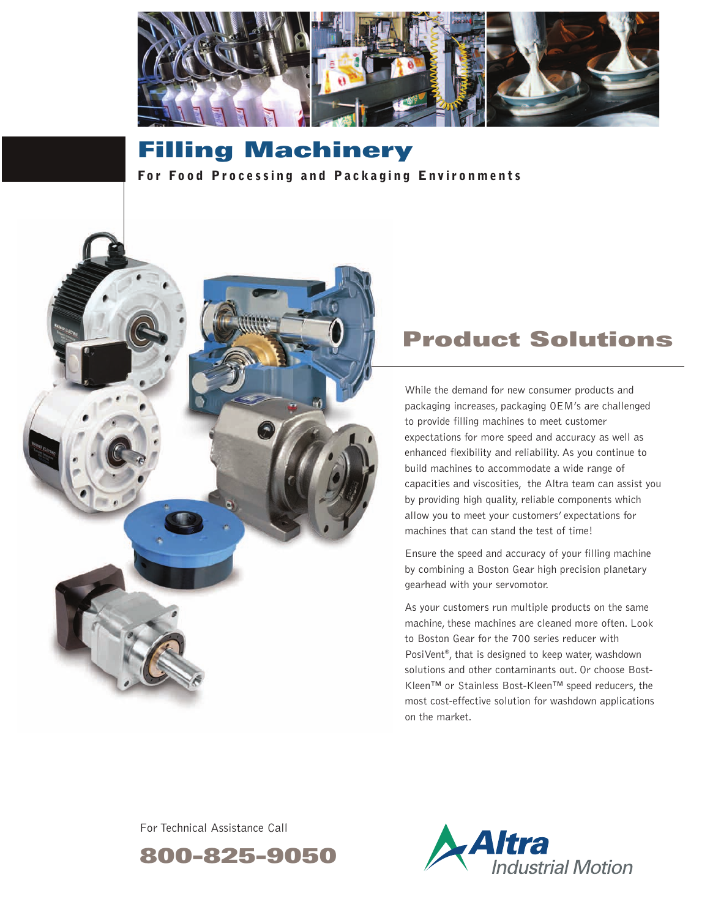

# **Filling Machinery**

**For Food Processing and Packaging Environments** 



## **Product Solutions**

While the demand for new consumer products and packaging increases, packaging OEM's are challenged to provide filling machines to meet customer expectations for more speed and accuracy as well as enhanced flexibility and reliability. As you continue to build machines to accommodate a wide range of capacities and viscosities, the Altra team can assist you by providing high quality, reliable components which allow you to meet your customers' expectations for machines that can stand the test of time!

Ensure the speed and accuracy of your filling machine by combining a Boston Gear high precision planetary gearhead with your servomotor.

As your customers run multiple products on the same machine, these machines are cleaned more often. Look to Boston Gear for the 700 series reducer with PosiVent®, that is designed to keep water, washdown solutions and other contaminants out. Or choose Bost-Kleen™ or Stainless Bost-Kleen™ speed reducers, the most cost-effective solution for washdown applications on the market.

For Technical Assistance Call